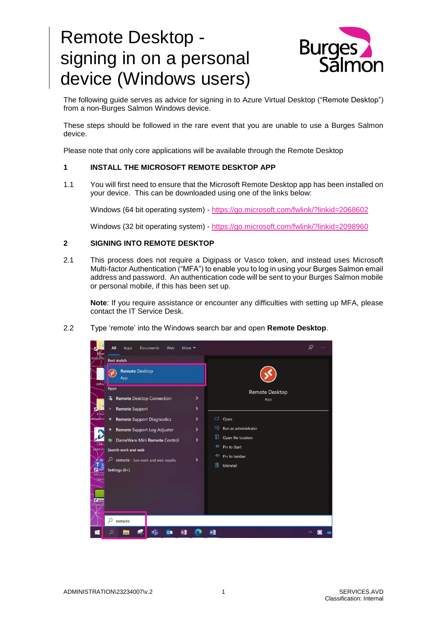# Remote Desktop signing in on a personal device (Windows users)



The following guide serves as advice for signing in to Azure Virtual Desktop ("Remote Desktop") from a non-Burges Salmon Windows device.

These steps should be followed in the rare event that you are unable to use a Burges Salmon device.

Please note that only core applications will be available through the Remote Desktop

#### **1 INSTALL THE MICROSOFT REMOTE DESKTOP APP**

1.1 You will first need to ensure that the Microsoft Remote Desktop app has been installed on your device. This can be downloaded using one of the links below:

Windows (64 bit operating system) - <https://go.microsoft.com/fwlink/?linkid=2068602>

Windows (32 bit operating system) - <https://go.microsoft.com/fwlink/?linkid=2098960>

#### **2 SIGNING INTO REMOTE DESKTOP**

2.1 This process does not require a Digipass or Vasco token, and instead uses Microsoft Multi-factor Authentication ("MFA") to enable you to log in using your Burges Salmon email address and password. An authentication code will be sent to your Burges Salmon mobile or personal mobile, if this has been set up.

**Note**: If you require assistance or encounter any difficulties with setting up MFA, please contact the IT Service Desk.

2.2 Type 'remote' into the Windows search bar and open **Remote Desktop**.

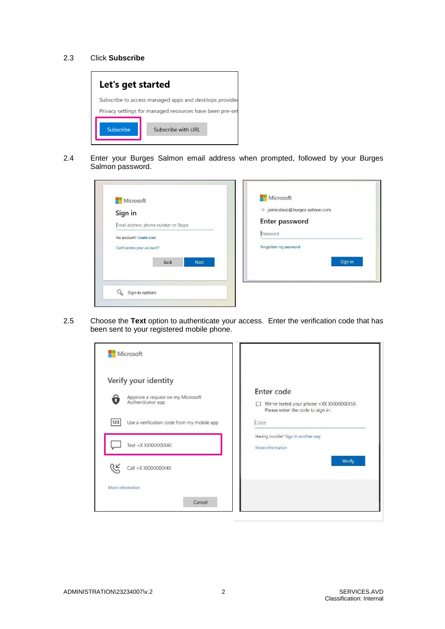#### 2.3 Click **Subscribe**



2.4 Enter your Burges Salmon email address when prompted, followed by your Burges Salmon password.

| Sign in                                                         | ← jamie.davis@burges-salmon.com<br>Enter password |
|-----------------------------------------------------------------|---------------------------------------------------|
| Email address, phone number or Skype<br>No account? Create one! | Password                                          |
| Can't access your account?                                      | Forgotten my password                             |
| <b>Back</b><br><b>Next</b>                                      | Sign in                                           |

2.5 Choose the **Text** option to authenticate your access. Enter the verification code that has been sent to your registered mobile phone.

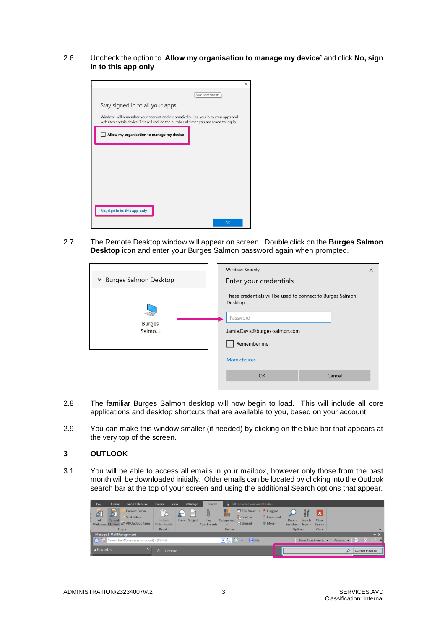2.6 Uncheck the option to '**Allow my organisation to manage my device'** and click **No, sign in to this app only**



2.7 The Remote Desktop window will appear on screen. Double click on the **Burges Salmon Desktop** icon and enter your Burges Salmon password again when prompted.

| ► Burges Salmon Desktop | <b>Windows Security</b><br>Enter your credentials                                                                                                  | $\times$ |
|-------------------------|----------------------------------------------------------------------------------------------------------------------------------------------------|----------|
| <b>Burges</b><br>Salmo  | These credentials will be used to connect to Burges Salmon<br>Desktop.<br>Password<br>Jamie.Davis@burges-salmon.com<br>Remember me<br>More choices |          |
|                         | OK<br>Cancel                                                                                                                                       |          |

- 2.8 The familiar Burges Salmon desktop will now begin to load. This will include all core applications and desktop shortcuts that are available to you, based on your account.
- 2.9 You can make this window smaller (if needed) by clicking on the blue bar that appears at the very top of the screen.

## **3 OUTLOOK**

3.1 You will be able to access all emails in your mailbox, however only those from the past month will be downloaded initially. Older emails can be located by clicking into the Outlook search bar at the top of your screen and using the additional Search options that appear.

| Send / Receive<br>Home<br>File                                                                                   | Folder<br><b>View</b><br>iManage<br>Search                                            | Q Tell me what you want to do                                                                                                                                            |                                                                |                        |
|------------------------------------------------------------------------------------------------------------------|---------------------------------------------------------------------------------------|--------------------------------------------------------------------------------------------------------------------------------------------------------------------------|----------------------------------------------------------------|------------------------|
| 5<br><b>Current Folder</b><br>8<br><b>Subfolders</b><br>All<br>Current<br>Mailboxes Mailbox 20 All Outlook Items | <b>UD</b><br>Û<br>P<br>From Subject<br>Has<br>Include<br>Older Results<br>Attachments | $\overline{\mathbf{m}}$ This Week $\sim$ $\blacktriangleright$ Flagged<br>$\frac{1}{2}$ Sent To $\sim$<br>Important<br>Categorized<br>+ More -<br>$\bigcirc$ Unread<br>۰ | ×<br>Close<br>Search<br>Recent<br>Searches * Tools *<br>Search |                        |
| Scope                                                                                                            | Results                                                                               | Refine                                                                                                                                                                   | Options<br>Close                                               | $\boldsymbol{\wedge}$  |
| iManage E-Mail Management                                                                                        |                                                                                       |                                                                                                                                                                          |                                                                | $\mathbf{v} \times$    |
| Search for Workspaces (shortcut) - (Ctrl+9)                                                                      |                                                                                       | 日記憶中<br><b>R</b> File                                                                                                                                                    | Actions $\sim$<br>Save Attachments -                           | <b>E Q</b>             |
| A Favorites                                                                                                      | All Unread                                                                            |                                                                                                                                                                          |                                                                | <b>Current Mailbox</b> |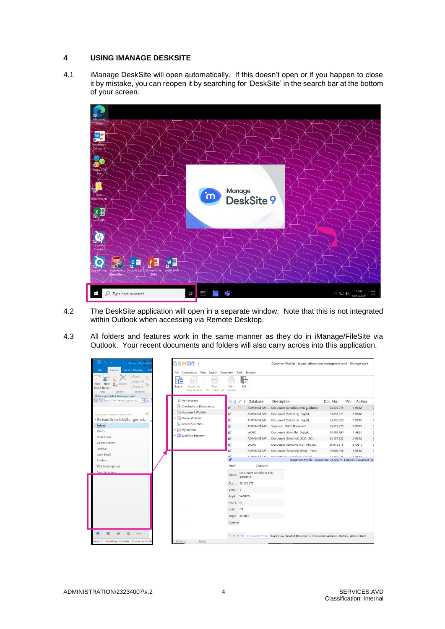## **4 USING IMANAGE DESKSITE**

4.1 iManage DeskSite will open automatically. If this doesn't open or if you happen to close it by mistake, you can reopen it by searching for 'DeskSite' in the search bar at the bottom of your screen.



- 4.2 The DeskSite application will open in a separate window. Note that this is not integrated within Outlook when accessing via Remote Desktop.
- 4.3 All folders and features work in the same manner as they do in iManage/FileSite via Outlook. Your recent documents and folders will also carry across into this application.

| <b>Inbox - Richard Sc</b>                                                                                                                 | Document Worklist - burges-salmon-dms.imanagework.co.uk - iManage Work                                                                      |                                               |                          |                                                                                                       |            |           |  |
|-------------------------------------------------------------------------------------------------------------------------------------------|---------------------------------------------------------------------------------------------------------------------------------------------|-----------------------------------------------|--------------------------|-------------------------------------------------------------------------------------------------------|------------|-----------|--|
| <b>Send / Receive</b><br>File<br>Home<br>Fol<br>Reply<br>Reply All<br>Delete<br>New<br>Forward<br>Email Items<br>Delete<br>Respond<br>New | Connections View Search Document Tools Browser<br>File<br>FR<br>∷ —<br>Print<br>Import<br>Import as<br>New Version<br>Document List Preview | Exit<br>Print                                 |                          |                                                                                                       |            |           |  |
| iManage E-Mail Management<br>□ © Search for Workspaces (sh ▼A                                                                             | My Favorites                                                                                                                                | F<br>$\Omega$<br>$\blacksquare$               | Database                 | <b>Description</b>                                                                                    | Doc. Nu    | Ve Author |  |
|                                                                                                                                           | Checked-out Documents                                                                                                                       | ä<br>⊡                                        |                          | ADMINISTRATI Document (Schollick) AVD guidance                                                        | 23,225,075 | 1 RS12    |  |
| $\Rightarrow$<br>Drag Your Favorite Folders Here                                                                                          | Document Worklist                                                                                                                           | ø۴                                            |                          | ADMINISTRATI Document (Schollick) Digital                                                             | 23,218,371 | 1 RS12    |  |
| - Richard.Schollick@burges-sal nd                                                                                                         | Matter Worklist                                                                                                                             | ۵P                                            |                          | ADMINISTRATI Document (Schollick) Digital                                                             | 23,210,820 | 1 RS12    |  |
| Inbox                                                                                                                                     | Recent Searches                                                                                                                             | ä.                                            |                          | ADMINISTRATI Specialist BSRD Document                                                                 | 23,217,870 | 1 RS12    |  |
| Drafts                                                                                                                                    | My Matters                                                                                                                                  | ď                                             | <b>WORK</b>              | Document (Ratcliffe) Digital                                                                          | 43,089,690 | 1 AR20    |  |
| Sent Items                                                                                                                                | <b>WorkSite Explorer</b>                                                                                                                    | dii                                           |                          | ADMINISTRATI Document (Schollick) 2020 LTC4                                                           | 23,127,622 | 2 RS12    |  |
| Deleted Items                                                                                                                             |                                                                                                                                             | ۵                                             | <b>WORK</b>              | Document (Goldsworthy) iPhone                                                                         | 35.675.616 | 2 CG10    |  |
| Archive                                                                                                                                   |                                                                                                                                             | ä                                             |                          | ADMINISTRATI Document (Schollick) Word - How                                                          | 22.900.246 | 4 RS12    |  |
| Junk Email                                                                                                                                |                                                                                                                                             | <b>Let</b>                                    | <b>A PLA SIA HCTDATI</b> | <b>Descensation (Calculiata Distant</b><br>Document Profile - Document: 23225075_1.DOCX (Document (Sc | 33.340.04E | $n$ ncan  |  |
| Outbox<br><b>RSS Subscriptions</b>                                                                                                        |                                                                                                                                             | Prof                                          | Content                  |                                                                                                       |            |           |  |
| Search Folders                                                                                                                            |                                                                                                                                             |                                               |                          |                                                                                                       |            |           |  |
|                                                                                                                                           |                                                                                                                                             | Document (Schollick) AVD<br>Descr<br>quidance |                          |                                                                                                       |            |           |  |
|                                                                                                                                           |                                                                                                                                             | Doc 23,225,075                                |                          |                                                                                                       |            |           |  |
|                                                                                                                                           |                                                                                                                                             |                                               |                          |                                                                                                       |            |           |  |
|                                                                                                                                           |                                                                                                                                             |                                               | Appli WORDX              |                                                                                                       |            |           |  |
|                                                                                                                                           |                                                                                                                                             |                                               |                          |                                                                                                       |            |           |  |
|                                                                                                                                           |                                                                                                                                             |                                               |                          |                                                                                                       |            |           |  |
|                                                                                                                                           |                                                                                                                                             |                                               | <b>INTNET</b>            |                                                                                                       |            |           |  |
|                                                                                                                                           |                                                                                                                                             | Comme                                         |                          |                                                                                                       |            |           |  |
|                                                                                                                                           |                                                                                                                                             |                                               |                          |                                                                                                       |            |           |  |
| Ø<br>                                                                                                                                     |                                                                                                                                             |                                               |                          | IL < I > IL Document Profile Quick View Related Documents Document Versions History Where Used        |            |           |  |
| Updating this folder. Connected to: Mi<br>tems: 0                                                                                         | Ready<br>138 Items                                                                                                                          |                                               |                          |                                                                                                       |            |           |  |